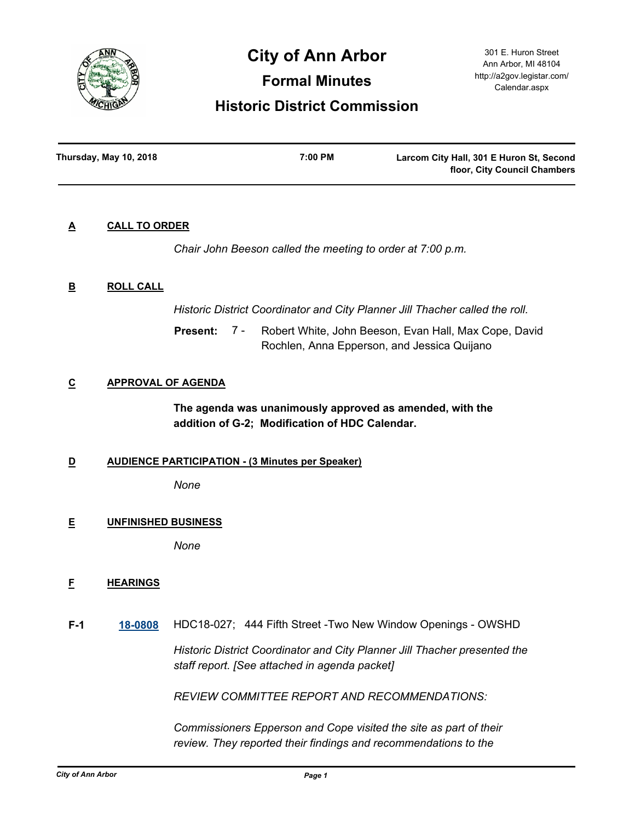

# **City of Ann Arbor**

**Formal Minutes**

## **Historic District Commission**

301 E. Huron Street Ann Arbor, MI 48104 http://a2gov.legistar.com/ Calendar.aspx

| Thursday, May 10, 2018 | 7:00 PM | Larcom City Hall, 301 E Huron St, Second |
|------------------------|---------|------------------------------------------|
|                        |         | floor, City Council Chambers             |

## **A CALL TO ORDER**

*Chair John Beeson called the meeting to order at 7:00 p.m.*

## **B ROLL CALL**

*Historic District Coordinator and City Planner Jill Thacher called the roll.*

Robert White, John Beeson, Evan Hall, Max Cope, David Rochlen, Anna Epperson, and Jessica Quijano **Present:** 7 -

## **C APPROVAL OF AGENDA**

**The agenda was unanimously approved as amended, with the addition of G-2; Modification of HDC Calendar.**

## **D AUDIENCE PARTICIPATION - (3 Minutes per Speaker)**

*None*

## **E UNFINISHED BUSINESS**

*None*

## **F HEARINGS**

**F-1 [18-0808](http://a2gov.legistar.com/gateway.aspx?M=L&ID=20428)** HDC18-027; 444 Fifth Street -Two New Window Openings - OWSHD

*Historic District Coordinator and City Planner Jill Thacher presented the staff report. [See attached in agenda packet]* 

*REVIEW COMMITTEE REPORT AND RECOMMENDATIONS:*

*Commissioners Epperson and Cope visited the site as part of their review. They reported their findings and recommendations to the*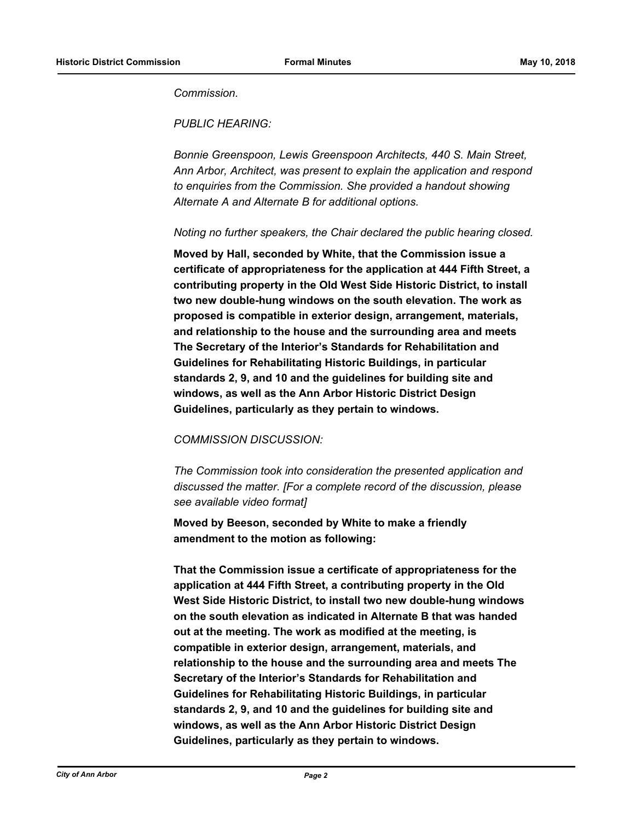*Commission.*

*PUBLIC HEARING:*

*Bonnie Greenspoon, Lewis Greenspoon Architects, 440 S. Main Street, Ann Arbor, Architect, was present to explain the application and respond to enquiries from the Commission. She provided a handout showing Alternate A and Alternate B for additional options.*

## *Noting no further speakers, the Chair declared the public hearing closed.*

**Moved by Hall, seconded by White, that the Commission issue a certificate of appropriateness for the application at 444 Fifth Street, a contributing property in the Old West Side Historic District, to install two new double-hung windows on the south elevation. The work as proposed is compatible in exterior design, arrangement, materials, and relationship to the house and the surrounding area and meets The Secretary of the Interior's Standards for Rehabilitation and Guidelines for Rehabilitating Historic Buildings, in particular standards 2, 9, and 10 and the guidelines for building site and windows, as well as the Ann Arbor Historic District Design Guidelines, particularly as they pertain to windows.**

## *COMMISSION DISCUSSION:*

*The Commission took into consideration the presented application and discussed the matter. [For a complete record of the discussion, please see available video format]*

**Moved by Beeson, seconded by White to make a friendly amendment to the motion as following:**

**That the Commission issue a certificate of appropriateness for the application at 444 Fifth Street, a contributing property in the Old West Side Historic District, to install two new double-hung windows on the south elevation as indicated in Alternate B that was handed out at the meeting. The work as modified at the meeting, is compatible in exterior design, arrangement, materials, and relationship to the house and the surrounding area and meets The Secretary of the Interior's Standards for Rehabilitation and Guidelines for Rehabilitating Historic Buildings, in particular standards 2, 9, and 10 and the guidelines for building site and windows, as well as the Ann Arbor Historic District Design Guidelines, particularly as they pertain to windows.**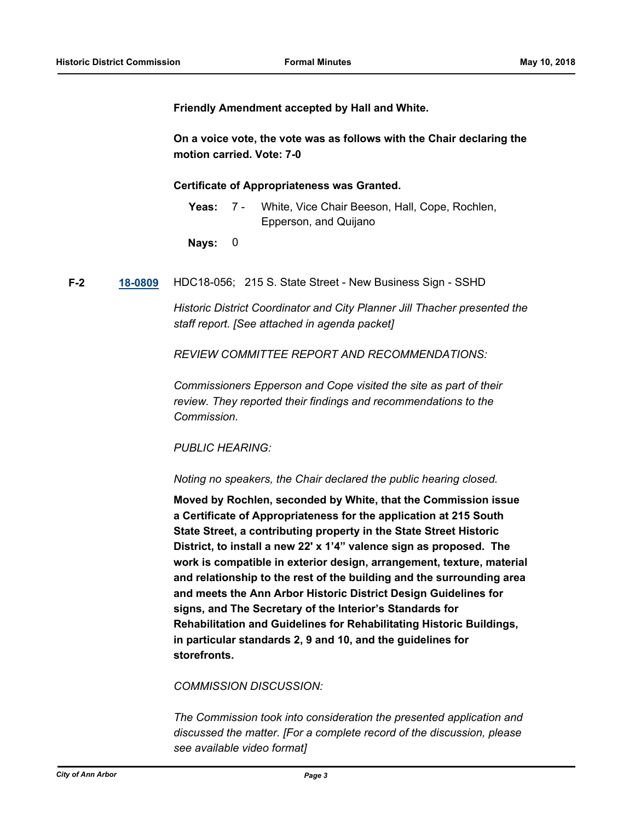**Friendly Amendment accepted by Hall and White.**

**On a voice vote, the vote was as follows with the Chair declaring the motion carried. Vote: 7-0**

**Certificate of Appropriateness was Granted.**

Yeas: 7 - White, Vice Chair Beeson, Hall, Cope, Rochlen, Epperson, and Quijano 7 -

**Nays:** 0

**F-2 [18-0809](http://a2gov.legistar.com/gateway.aspx?M=L&ID=20429)** HDC18-056; 215 S. State Street - New Business Sign - SSHD

*Historic District Coordinator and City Planner Jill Thacher presented the staff report. [See attached in agenda packet]* 

*REVIEW COMMITTEE REPORT AND RECOMMENDATIONS:*

*Commissioners Epperson and Cope visited the site as part of their review. They reported their findings and recommendations to the Commission.*

## *PUBLIC HEARING:*

*Noting no speakers, the Chair declared the public hearing closed.*

**Moved by Rochlen, seconded by White, that the Commission issue a Certificate of Appropriateness for the application at 215 South State Street, a contributing property in the State Street Historic District, to install a new 22' x 1'4" valence sign as proposed. The work is compatible in exterior design, arrangement, texture, material and relationship to the rest of the building and the surrounding area and meets the Ann Arbor Historic District Design Guidelines for signs, and The Secretary of the Interior's Standards for Rehabilitation and Guidelines for Rehabilitating Historic Buildings, in particular standards 2, 9 and 10, and the guidelines for storefronts.**

## *COMMISSION DISCUSSION:*

*The Commission took into consideration the presented application and discussed the matter. [For a complete record of the discussion, please see available video format]*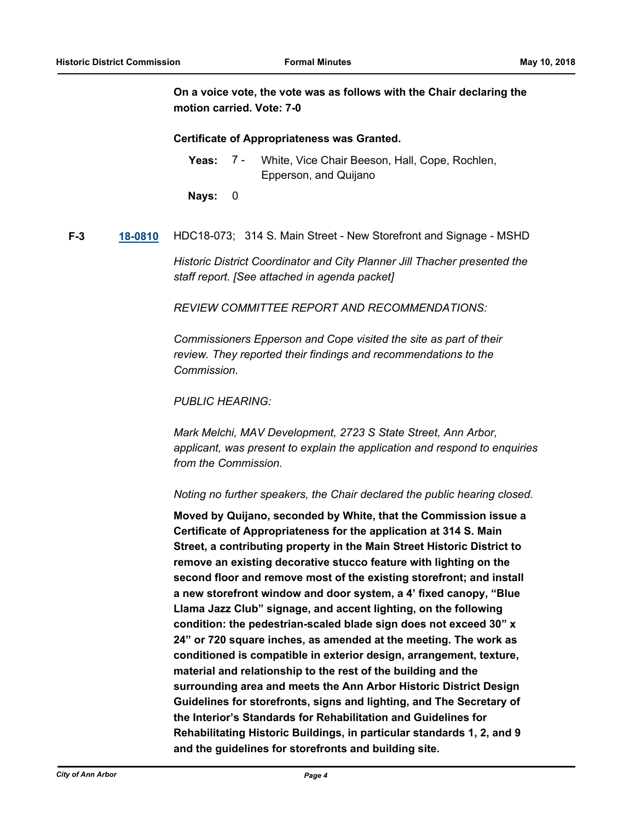**On a voice vote, the vote was as follows with the Chair declaring the motion carried. Vote: 7-0**

#### **Certificate of Appropriateness was Granted.**

Yeas: 7 - White, Vice Chair Beeson, Hall, Cope, Rochlen, Epperson, and Quijano 7 -

**Nays:** 0

**F-3 [18-0810](http://a2gov.legistar.com/gateway.aspx?M=L&ID=20430)** HDC18-073; 314 S. Main Street - New Storefront and Signage - MSHD

*Historic District Coordinator and City Planner Jill Thacher presented the staff report. [See attached in agenda packet]* 

*REVIEW COMMITTEE REPORT AND RECOMMENDATIONS:*

*Commissioners Epperson and Cope visited the site as part of their review. They reported their findings and recommendations to the Commission.*

*PUBLIC HEARING:*

*Mark Melchi, MAV Development, 2723 S State Street, Ann Arbor, applicant, was present to explain the application and respond to enquiries from the Commission.* 

*Noting no further speakers, the Chair declared the public hearing closed.*

**Moved by Quijano, seconded by White, that the Commission issue a Certificate of Appropriateness for the application at 314 S. Main Street, a contributing property in the Main Street Historic District to remove an existing decorative stucco feature with lighting on the second floor and remove most of the existing storefront; and install a new storefront window and door system, a 4' fixed canopy, "Blue Llama Jazz Club" signage, and accent lighting, on the following condition: the pedestrian-scaled blade sign does not exceed 30" x 24" or 720 square inches, as amended at the meeting. The work as conditioned is compatible in exterior design, arrangement, texture, material and relationship to the rest of the building and the surrounding area and meets the Ann Arbor Historic District Design Guidelines for storefronts, signs and lighting, and The Secretary of the Interior's Standards for Rehabilitation and Guidelines for Rehabilitating Historic Buildings, in particular standards 1, 2, and 9 and the guidelines for storefronts and building site.**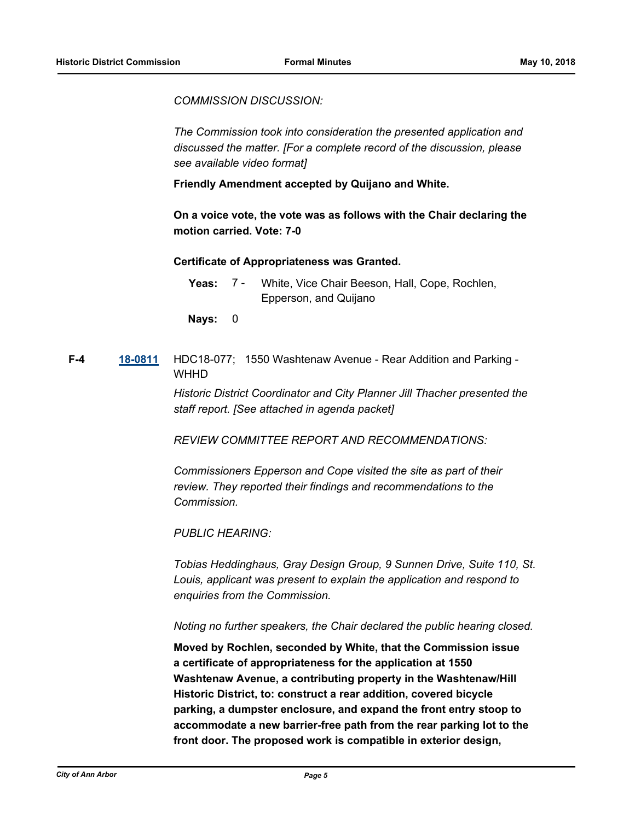*COMMISSION DISCUSSION:*

*The Commission took into consideration the presented application and discussed the matter. [For a complete record of the discussion, please see available video format]*

**Friendly Amendment accepted by Quijano and White.**

**On a voice vote, the vote was as follows with the Chair declaring the motion carried. Vote: 7-0**

## **Certificate of Appropriateness was Granted.**

**Nays:** 0

## **F-4 [18-0811](http://a2gov.legistar.com/gateway.aspx?M=L&ID=20431)** HDC18-077; 1550 Washtenaw Avenue - Rear Addition and Parking - **WHHD**

*Historic District Coordinator and City Planner Jill Thacher presented the staff report. [See attached in agenda packet]* 

*REVIEW COMMITTEE REPORT AND RECOMMENDATIONS:*

*Commissioners Epperson and Cope visited the site as part of their review. They reported their findings and recommendations to the Commission.*

*PUBLIC HEARING:*

*Tobias Heddinghaus, Gray Design Group, 9 Sunnen Drive, Suite 110, St. Louis, applicant was present to explain the application and respond to enquiries from the Commission.*

*Noting no further speakers, the Chair declared the public hearing closed.*

**Moved by Rochlen, seconded by White, that the Commission issue a certificate of appropriateness for the application at 1550 Washtenaw Avenue, a contributing property in the Washtenaw/Hill Historic District, to: construct a rear addition, covered bicycle parking, a dumpster enclosure, and expand the front entry stoop to accommodate a new barrier-free path from the rear parking lot to the front door. The proposed work is compatible in exterior design,** 

Yeas: 7 - White, Vice Chair Beeson, Hall, Cope, Rochlen, Epperson, and Quijano 7 -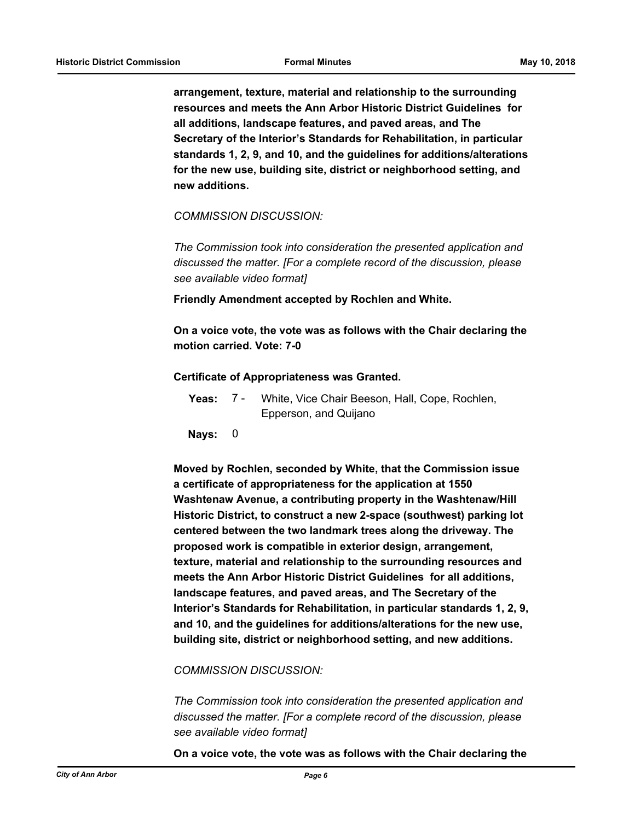**arrangement, texture, material and relationship to the surrounding resources and meets the Ann Arbor Historic District Guidelines for all additions, landscape features, and paved areas, and The Secretary of the Interior's Standards for Rehabilitation, in particular standards 1, 2, 9, and 10, and the guidelines for additions/alterations for the new use, building site, district or neighborhood setting, and new additions.**

*COMMISSION DISCUSSION:*

*The Commission took into consideration the presented application and discussed the matter. [For a complete record of the discussion, please see available video format]*

**Friendly Amendment accepted by Rochlen and White.**

**On a voice vote, the vote was as follows with the Chair declaring the motion carried. Vote: 7-0**

#### **Certificate of Appropriateness was Granted.**

| Yeas: 7 - | White, Vice Chair Beeson, Hall, Cope, Rochlen, |
|-----------|------------------------------------------------|
|           | Epperson, and Quijano                          |

**Nays:** 0

**Moved by Rochlen, seconded by White, that the Commission issue a certificate of appropriateness for the application at 1550 Washtenaw Avenue, a contributing property in the Washtenaw/Hill Historic District, to construct a new 2-space (southwest) parking lot centered between the two landmark trees along the driveway. The proposed work is compatible in exterior design, arrangement, texture, material and relationship to the surrounding resources and meets the Ann Arbor Historic District Guidelines for all additions, landscape features, and paved areas, and The Secretary of the Interior's Standards for Rehabilitation, in particular standards 1, 2, 9, and 10, and the guidelines for additions/alterations for the new use, building site, district or neighborhood setting, and new additions.**

#### *COMMISSION DISCUSSION:*

*The Commission took into consideration the presented application and discussed the matter. [For a complete record of the discussion, please see available video format]*

**On a voice vote, the vote was as follows with the Chair declaring the**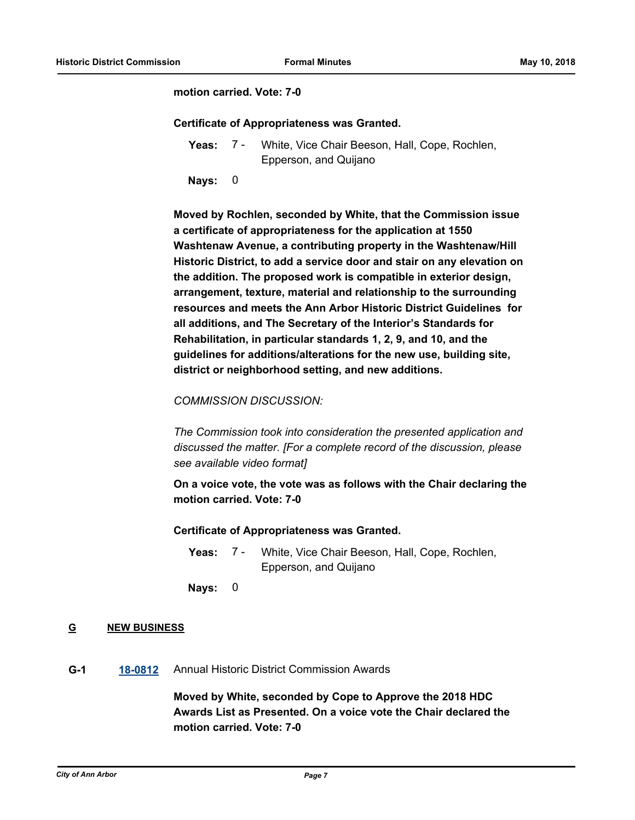## **motion carried. Vote: 7-0**

## **Certificate of Appropriateness was Granted.**

- **Yeas:** White, Vice Chair Beeson, Hall, Cope, Rochlen, Epperson, and Quijano 7 -
- **Nays:** 0

**Moved by Rochlen, seconded by White, that the Commission issue a certificate of appropriateness for the application at 1550 Washtenaw Avenue, a contributing property in the Washtenaw/Hill Historic District, to add a service door and stair on any elevation on the addition. The proposed work is compatible in exterior design, arrangement, texture, material and relationship to the surrounding resources and meets the Ann Arbor Historic District Guidelines for all additions, and The Secretary of the Interior's Standards for Rehabilitation, in particular standards 1, 2, 9, and 10, and the guidelines for additions/alterations for the new use, building site, district or neighborhood setting, and new additions.**

## *COMMISSION DISCUSSION:*

*The Commission took into consideration the presented application and discussed the matter. [For a complete record of the discussion, please see available video format]*

**On a voice vote, the vote was as follows with the Chair declaring the motion carried. Vote: 7-0**

## **Certificate of Appropriateness was Granted.**

- Yeas: 7 White, Vice Chair Beeson, Hall, Cope, Rochlen, Epperson, and Quijano 7 -
- **Nays:** 0

## **G NEW BUSINESS**

**G-1 [18-0812](http://a2gov.legistar.com/gateway.aspx?M=L&ID=20432)** Annual Historic District Commission Awards

**Moved by White, seconded by Cope to Approve the 2018 HDC Awards List as Presented. On a voice vote the Chair declared the motion carried. Vote: 7-0**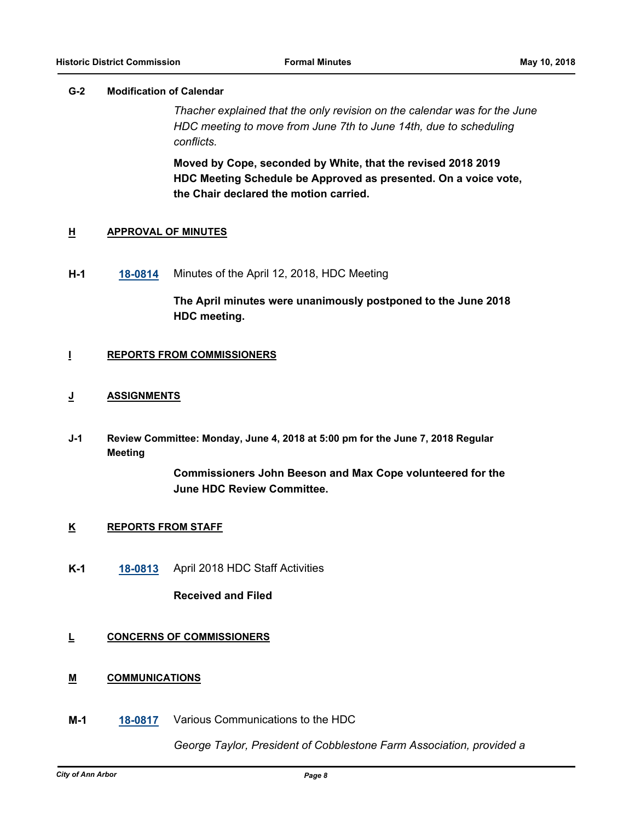## **G-2 Modification of Calendar**

*Thacher explained that the only revision on the calendar was for the June HDC meeting to move from June 7th to June 14th, due to scheduling conflicts.*

**Moved by Cope, seconded by White, that the revised 2018 2019 HDC Meeting Schedule be Approved as presented. On a voice vote, the Chair declared the motion carried.**

## **H APPROVAL OF MINUTES**

**H-1 [18-0814](http://a2gov.legistar.com/gateway.aspx?M=L&ID=20434)** Minutes of the April 12, 2018, HDC Meeting

**The April minutes were unanimously postponed to the June 2018 HDC meeting.**

## **I REPORTS FROM COMMISSIONERS**

## **J ASSIGNMENTS**

**Review Committee: Monday, June 4, 2018 at 5:00 pm for the June 7, 2018 Regular Meeting J-1**

> **Commissioners John Beeson and Max Cope volunteered for the June HDC Review Committee.**

## **K REPORTS FROM STAFF**

**K-1 [18-0813](http://a2gov.legistar.com/gateway.aspx?M=L&ID=20433)** April 2018 HDC Staff Activities

**Received and Filed**

## **L CONCERNS OF COMMISSIONERS**

## **M COMMUNICATIONS**

**M-1 [18-0817](http://a2gov.legistar.com/gateway.aspx?M=L&ID=20437)** Various Communications to the HDC

*George Taylor, President of Cobblestone Farm Association, provided a*